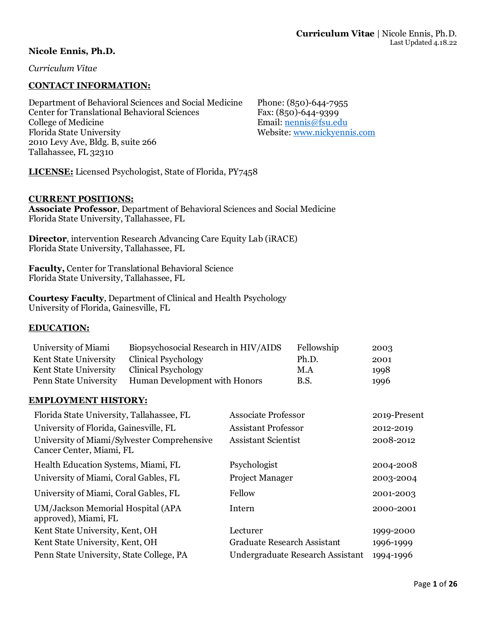## **Nicole Ennis, Ph.D.**

*Curriculum Vitae*

## **CONTACT INFORMATION:**

Department of Behavioral Sciences and Social Medicine Phone: (850)-644-7955 Center for Translational Behavioral Sciences Fax: (850)-644-9399 College of Medicine Email: [nennis@fsu.edu](mailto:nennis@fsu.edu) Florida State University Website[: www.nickyennis.com](http://www.nickyennis.com/) 2010 Levy Ave, Bldg. B, suite 266 Tallahassee, FL 32310

**LICENSE:** Licensed Psychologist, State of Florida, PY7458

#### **CURRENT POSITIONS:**

**Associate Professor**, Department of Behavioral Sciences and Social Medicine Florida State University, Tallahassee, FL

**Director**, intervention Research Advancing Care Equity Lab (iRACE) Florida State University, Tallahassee, FL

**Faculty,** Center for Translational Behavioral Science Florida State University, Tallahassee, FL

**Courtesy Faculty**, Department of Clinical and Health Psychology University of Florida, Gainesville, FL

### **EDUCATION:**

| University of Miami   | Biopsychosocial Research in HIV/AIDS | Fellowship  | 2003 |
|-----------------------|--------------------------------------|-------------|------|
| Kent State University | Clinical Psychology                  | Ph.D.       | 2001 |
| Kent State University | Clinical Psychology                  | M.A         | 1998 |
| Penn State University | Human Development with Honors        | <b>B.S.</b> | 1996 |

### **EMPLOYMENT HISTORY:**

| Florida State University, Tallahassee, FL                               | <b>Associate Professor</b>         | 2019-Present |
|-------------------------------------------------------------------------|------------------------------------|--------------|
| University of Florida, Gainesville, FL                                  | <b>Assistant Professor</b>         | 2012-2019    |
| University of Miami/Sylvester Comprehensive<br>Cancer Center, Miami, FL | <b>Assistant Scientist</b>         | 2008-2012    |
| Health Education Systems, Miami, FL                                     | Psychologist                       | 2004-2008    |
| University of Miami, Coral Gables, FL                                   | <b>Project Manager</b>             | 2003-2004    |
| University of Miami, Coral Gables, FL                                   | Fellow                             | 2001-2003    |
| UM/Jackson Memorial Hospital (APA<br>approved), Miami, FL               | Intern                             | 2000-2001    |
| Kent State University, Kent, OH                                         | Lecturer                           | 1999-2000    |
| Kent State University, Kent, OH                                         | <b>Graduate Research Assistant</b> | 1996-1999    |
| Penn State University, State College, PA                                | Undergraduate Research Assistant   | 1994-1996    |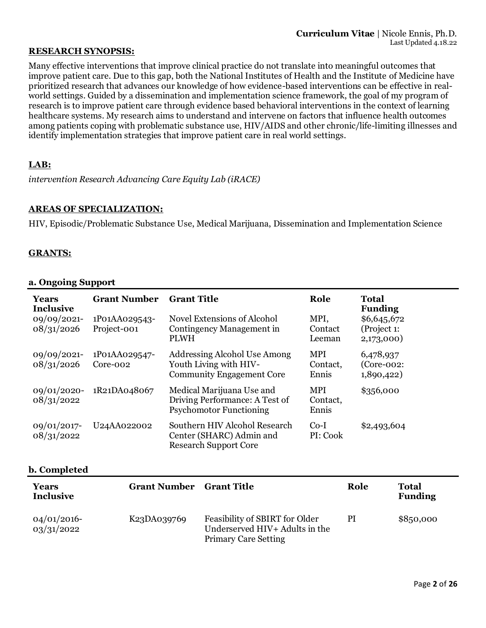### **RESEARCH SYNOPSIS:**

Many effective interventions that improve clinical practice do not translate into meaningful outcomes that improve patient care. Due to this gap, both the National Institutes of Health and the Institute of Medicine have prioritized research that advances our knowledge of how evidence-based interventions can be effective in realworld settings. Guided by a dissemination and implementation science framework, the goal of my program of research is to improve patient care through evidence based behavioral interventions in the context of learning healthcare systems. My research aims to understand and intervene on factors that influence health outcomes among patients coping with problematic substance use, HIV/AIDS and other chronic/life-limiting illnesses and identify implementation strategies that improve patient care in real world settings.

## **LAB:**

*intervention Research Advancing Care Equity Lab (iRACE)*

## **AREAS OF SPECIALIZATION:**

HIV, Episodic/Problematic Substance Use, Medical Marijuana, Dissemination and Implementation Science

### **GRANTS:**

#### **a. Ongoing Support**

| <b>Years</b><br><b>Inclusive</b> | <b>Grant Number</b>          | <b>Grant Title</b>                                                                            | Role                            | <b>Total</b><br><b>Funding</b>            |
|----------------------------------|------------------------------|-----------------------------------------------------------------------------------------------|---------------------------------|-------------------------------------------|
| 09/09/2021-<br>08/31/2026        | 1P01AA029543-<br>Project-001 | <b>Novel Extensions of Alcohol</b><br>Contingency Management in<br><b>PLWH</b>                | MPI,<br>Contact<br>Leeman       | \$6,645,672<br>(Project 1:<br>2,173,000)  |
| 09/09/2021-<br>08/31/2026        | 1P01AA029547-<br>Core-002    | Addressing Alcohol Use Among<br>Youth Living with HIV-<br><b>Community Engagement Core</b>    | <b>MPI</b><br>Contact,<br>Ennis | 6,478,937<br>$(Core-002)$ :<br>1,890,422) |
| $09/01/2020$ -<br>08/31/2022     | 1R21DA048067                 | Medical Marijuana Use and<br>Driving Performance: A Test of<br><b>Psychomotor Functioning</b> | <b>MPI</b><br>Contact,<br>Ennis | \$356,000                                 |
| 09/01/2017-<br>08/31/2022        | U24AA022002                  | Southern HIV Alcohol Research<br>Center (SHARC) Admin and<br><b>Research Support Core</b>     | $Co-I$<br>PI: Cook              | \$2,493,604                               |

### **b. Completed**

| Years<br><b>Inclusive</b>    | <b>Grant Number</b>                  | <b>Grant Title</b>                                                                              | Role | Total<br><b>Funding</b> |
|------------------------------|--------------------------------------|-------------------------------------------------------------------------------------------------|------|-------------------------|
| $04/01/2016$ -<br>03/31/2022 | K <sub>23</sub> DA <sub>039769</sub> | Feasibility of SBIRT for Older<br>Underserved HIV+ Adults in the<br><b>Primary Care Setting</b> | PI   | \$850,000               |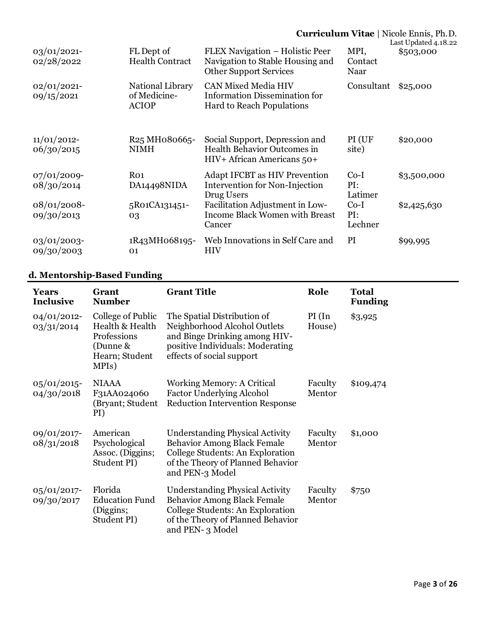|                              |                                                                    |                                                                                                        |                          | <b>Curriculum Vitae</b>   Nicole Ennis, Ph.D.<br>Last Updated 4.18.22 |
|------------------------------|--------------------------------------------------------------------|--------------------------------------------------------------------------------------------------------|--------------------------|-----------------------------------------------------------------------|
| 03/01/2021-<br>02/28/2022    | FL Dept of<br><b>Health Contract</b>                               | FLEX Navigation – Holistic Peer<br>Navigation to Stable Housing and<br><b>Other Support Services</b>   | MPI,<br>Contact<br>Naar  | \$503,000                                                             |
| $02/01/2021$ -<br>09/15/2021 | National Library<br>of Medicine-<br><b>ACIOP</b>                   | <b>CAN Mixed Media HIV</b><br><b>Information Dissemination for</b><br><b>Hard to Reach Populations</b> | Consultant               | \$25,000                                                              |
| $11/01/2012$ -<br>06/30/2015 | R <sub>25</sub> MH <sub>0</sub> 8066 <sub>5</sub> -<br><b>NIMH</b> | Social Support, Depression and<br>Health Behavior Outcomes in<br>HIV+ African Americans 50+            | PI (UF<br>site)          | \$20,000                                                              |
| $07/01/2009$ -<br>08/30/2014 | Ro <sub>1</sub><br>DA14498NIDA                                     | <b>Adapt IFCBT as HIV Prevention</b><br><b>Intervention for Non-Injection</b><br>Drug Users            | $Co-I$<br>PI:<br>Latimer | \$3,500,000                                                           |
| $08/01/2008$ -<br>09/30/2013 | 5R01CA131451-<br>03                                                | Facilitation Adjustment in Low-<br><b>Income Black Women with Breast</b><br>Cancer                     | $Co-I$<br>PI:<br>Lechner | \$2,425,630                                                           |
| $03/01/2003$ -<br>09/30/2003 | 1R43MH068195-<br>01                                                | Web Innovations in Self Care and<br><b>HIV</b>                                                         | PI                       | \$99,995                                                              |

# **d. Mentorship-Based Funding**

| <b>Years</b><br><b>Inclusive</b> | Grant<br><b>Number</b>                                                                     | <b>Grant Title</b>                                                                                                                                                       | Role              | <b>Total</b><br><b>Funding</b> |
|----------------------------------|--------------------------------------------------------------------------------------------|--------------------------------------------------------------------------------------------------------------------------------------------------------------------------|-------------------|--------------------------------|
| $04/01/2012$ -<br>03/31/2014     | College of Public<br>Health & Health<br>Professions<br>(Dunne &<br>Hearn; Student<br>MPIs) | The Spatial Distribution of<br>Neighborhood Alcohol Outlets<br>and Binge Drinking among HIV-<br>positive Individuals: Moderating<br>effects of social support            | PI(In<br>House)   | \$3,925                        |
| $05/01/2015$ -<br>04/30/2018     | <b>NIAAA</b><br>F31AA024060<br>(Bryant; Student<br>PI)                                     | Working Memory: A Critical<br><b>Factor Underlying Alcohol</b><br><b>Reduction Intervention Response</b>                                                                 | Faculty<br>Mentor | \$109,474                      |
| 09/01/2017-<br>08/31/2018        | American<br>Psychological<br>Assoc. (Diggins;<br>Student PI)                               | <b>Understanding Physical Activity</b><br><b>Behavior Among Black Female</b><br>College Students: An Exploration<br>of the Theory of Planned Behavior<br>and PEN-3 Model | Faculty<br>Mentor | \$1,000                        |
| 05/01/2017-<br>09/30/2017        | Florida<br><b>Education Fund</b><br>(Diggins;<br>Student PI)                               | <b>Understanding Physical Activity</b><br><b>Behavior Among Black Female</b><br>College Students: An Exploration<br>of the Theory of Planned Behavior<br>and PEN-3 Model | Faculty<br>Mentor | \$750                          |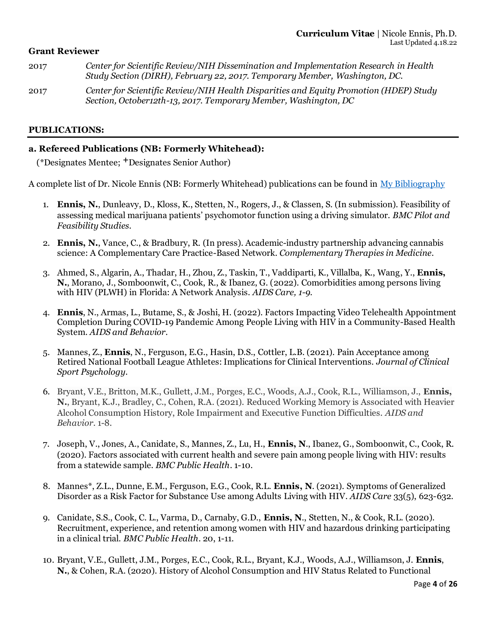## **Grant Reviewer**

- 2017 *Center for Scientific Review/NIH Dissemination and Implementation Research in Health Study Section (DIRH), February 22, 2017. Temporary Member, Washington, DC.*
- 2017 *Center for Scientific Review/NIH Health Disparities and Equity Promotion (HDEP) Study Section, October12th-13, 2017. Temporary Member, Washington, DC*

### **PUBLICATIONS:**

## **a. Refereed Publications (NB: Formerly Whitehead):**

(\*Designates Mentee; **+**Designates Senior Author)

A complete list of Dr. Nicole Ennis (NB: Formerly Whitehead) publications can be found in [My Bibliography](https://www.ncbi.nlm.nih.gov/myncbi/nicole.whitehead.1/bibliography/public/)

- 1. **Ennis, N.**, Dunleavy, D., Kloss, K., Stetten, N., Rogers, J., & Classen, S. (In submission). Feasibility of assessing medical marijuana patients' psychomotor function using a driving simulator. *BMC Pilot and Feasibility Studies*.
- 2. **Ennis, N.**, Vance, C., & Bradbury, R. (In press). Academic-industry partnership advancing cannabis science: A Complementary Care Practice-Based Network. *Complementary Therapies in Medicine*.
- 3. Ahmed, S., Algarin, A., Thadar, H., Zhou, Z., Taskin, T., Vaddiparti, K., Villalba, K., Wang, Y., **Ennis, N.**, Morano, J., Somboonwit, C., Cook, R., & Ibanez, G. (2022). Comorbidities among persons living with HIV (PLWH) in Florida: A Network Analysis. *AIDS Care, 1-9*.
- 4. **Ennis**, N., Armas, L., Butame, S., & Joshi, H. (2022). Factors Impacting Video Telehealth Appointment Completion During COVID-19 Pandemic Among People Living with HIV in a Community-Based Health System. *AIDS and Behavior*.
- 5. Mannes, Z., **Ennis**, N., Ferguson, E.G., Hasin, D.S., Cottler, L.B. (2021). Pain Acceptance among Retired National Football League Athletes: Implications for Clinical Interventions. *Journal of Clinical Sport Psychology*.
- 6. Bryant, V.E., Britton, M.K., Gullett, J.M., Porges, E.C., Woods, A.J., Cook, R.L., Williamson, J., **Ennis, N.**, Bryant, K.J., Bradley, C., Cohen, R.A. (2021). Reduced Working Memory is Associated with Heavier Alcohol Consumption History, Role Impairment and Executive Function Difficulties. *AIDS and Behavior*. 1-8.
- 7. Joseph, V., Jones, A., Canidate, S., Mannes, Z., Lu, H., **Ennis, N**., Ibanez, G., Somboonwit, C., Cook, R. (2020). Factors associated with current health and severe pain among people living with HIV: results from a statewide sample. *BMC Public Health*. 1-10.
- 8. Mannes\*, Z.L., Dunne, E.M., Ferguson, E.G., Cook, R.L. **Ennis, N**. (2021). Symptoms of Generalized Disorder as a Risk Factor for Substance Use among Adults Living with HIV. *AIDS Care* 33(5), 623-632.
- 9. Canidate, S.S., Cook, C. L., Varma, D., Carnaby, G.D., **Ennis, N**., Stetten, N., & Cook, R.L. (2020). Recruitment, experience, and retention among women with HIV and hazardous drinking participating in a clinical trial. *BMC Public Health*. 20, 1-11.
- 10. Bryant, V.E., Gullett, J.M., Porges, E.C., Cook, R.L., Bryant, K.J., Woods, A.J., Williamson, J. **Ennis**, **N.**, & Cohen, R.A. (2020). History of Alcohol Consumption and HIV Status Related to Functional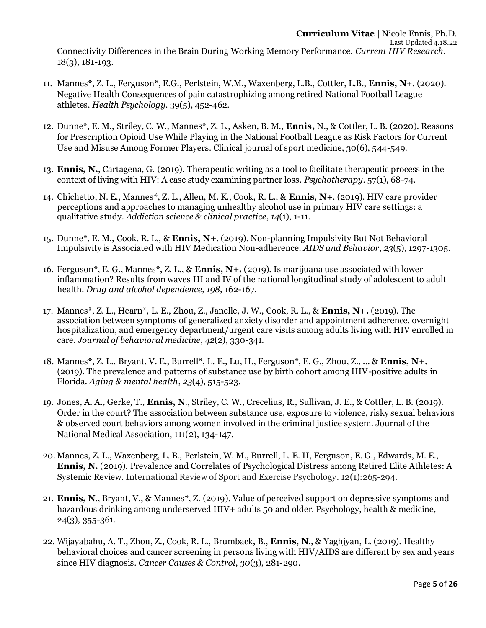Connectivity Differences in the Brain During Working Memory Performance. *Current HIV Research*. 18(3), 181-193.

- 11. Mannes\*, Z. L., Ferguson\*, E.G., Perlstein, W.M., Waxenberg, L.B., Cottler, L.B., **Ennis, N**+. (2020). Negative Health Consequences of pain catastrophizing among retired National Football League athletes. *Health Psychology*. 39(5), 452-462.
- 12. Dunne\*, E. M., Striley, C. W., Mannes\*, Z. L., Asken, B. M., **Ennis,** N., & Cottler, L. B. (2020). Reasons for Prescription Opioid Use While Playing in the National Football League as Risk Factors for Current Use and Misuse Among Former Players. Clinical journal of sport medicine, 30(6), 544-549.
- 13. **Ennis, N.**, Cartagena, G. (2019). Therapeutic writing as a tool to facilitate therapeutic process in the context of living with HIV: A case study examining partner loss. *Psychotherapy*. 57(1), 68-74.
- 14. Chichetto, N. E., Mannes\*, Z. L., Allen, M. K., Cook, R. L., & **Ennis**, **N+**. (2019). HIV care provider perceptions and approaches to managing unhealthy alcohol use in primary HIV care settings: a qualitative study. *Addiction science & clinical practice*, *14*(1), 1-11.
- 15. Dunne\*, E. M., Cook, R. L., & **Ennis, N+**. (2019). Non-planning Impulsivity But Not Behavioral Impulsivity is Associated with HIV Medication Non-adherence. *AIDS and Behavior*, *23*(5), 1297-1305.
- 16. Ferguson\*, E. G., Mannes\*, Z. L., & **Ennis, N+.** (2019). Is marijuana use associated with lower inflammation? Results from waves III and IV of the national longitudinal study of adolescent to adult health. *Drug and alcohol dependence*, *198*, 162-167.
- 17. Mannes\*, Z. L., Hearn\*, L. E., Zhou, Z., Janelle, J. W., Cook, R. L., & **Ennis, N+.** (2019). The association between symptoms of generalized anxiety disorder and appointment adherence, overnight hospitalization, and emergency department/urgent care visits among adults living with HIV enrolled in care. *Journal of behavioral medicine*, *42*(2), 330-341.
- 18. Mannes\*, Z. L., Bryant, V. E., Burrell\*, L. E., Lu, H., Ferguson\*, E. G., Zhou, Z., ... & **Ennis, N+.** (2019). The prevalence and patterns of substance use by birth cohort among HIV-positive adults in Florida. *Aging & mental health*, *23*(4), 515-523.
- 19. Jones, A. A., Gerke, T., **Ennis, N**., Striley, C. W., Crecelius, R., Sullivan, J. E., & Cottler, L. B. (2019). Order in the court? The association between substance use, exposure to violence, risky sexual behaviors & observed court behaviors among women involved in the criminal justice system. Journal of the National Medical Association, 111(2), 134-147.
- 20. Mannes, Z. L., Waxenberg, L. B., Perlstein, W. M., Burrell, L. E. II, Ferguson, E. G., Edwards, M. E., **Ennis, N.** (2019). Prevalence and Correlates of Psychological Distress among Retired Elite Athletes: A Systemic Review. International Review of Sport and Exercise Psychology. 12(1):265-294.
- 21. **Ennis, N**., Bryant, V., & Mannes\*, Z. (2019). Value of perceived support on depressive symptoms and hazardous drinking among underserved HIV+ adults 50 and older. Psychology, health & medicine, 24(3), 355-361.
- 22. Wijayabahu, A. T., Zhou, Z., Cook, R. L., Brumback, B., **Ennis, N**., & Yaghjyan, L. (2019). Healthy behavioral choices and cancer screening in persons living with HIV/AIDS are different by sex and years since HIV diagnosis. *Cancer Causes & Control*, *30*(3), 281-290.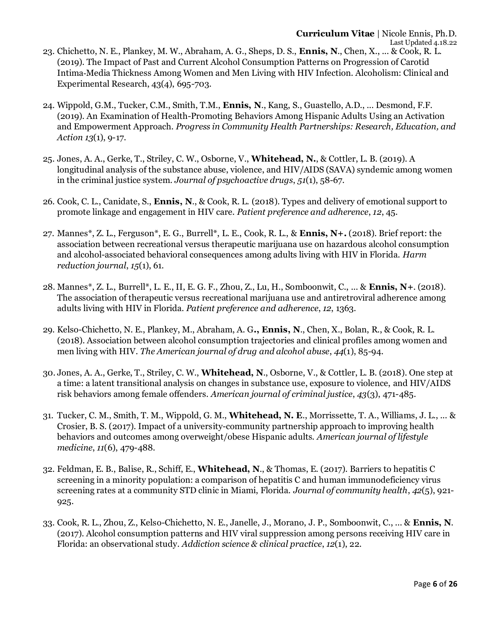- 23. Chichetto, N. E., Plankey, M. W., Abraham, A. G., Sheps, D. S., **Ennis, N**., Chen, X., ... & Cook, R. L. (2019). The Impact of Past and Current Alcohol Consumption Patterns on Progression of Carotid Intima‐Media Thickness Among Women and Men Living with HIV Infection. Alcoholism: Clinical and Experimental Research, 43(4), 695-703.
- 24. Wippold, G.M., Tucker, C.M., Smith, T.M., **Ennis, N**., Kang, S., Guastello, A.D., ... Desmond, F.F. (2019). An Examination of Health-Promoting Behaviors Among Hispanic Adults Using an Activation and Empowerment Approach. *Progress in Community Health Partnerships: Research, Education, and Action 13*(1), 9-17.
- 25. Jones, A. A., Gerke, T., Striley, C. W., Osborne, V., **Whitehead, N.**, & Cottler, L. B. (2019). A longitudinal analysis of the substance abuse, violence, and HIV/AIDS (SAVA) syndemic among women in the criminal justice system. *Journal of psychoactive drugs*, *51*(1), 58-67.
- 26. Cook, C. L., Canidate, S., **Ennis, N**., & Cook, R. L. (2018). Types and delivery of emotional support to promote linkage and engagement in HIV care. *Patient preference and adherence*, *12*, 45.
- 27. Mannes\*, Z. L., Ferguson\*, E. G., Burrell\*, L. E., Cook, R. L., & **Ennis, N+.** (2018). Brief report: the association between recreational versus therapeutic marijuana use on hazardous alcohol consumption and alcohol-associated behavioral consequences among adults living with HIV in Florida. *Harm reduction journal*, *15*(1), 61.
- 28. Mannes\*, Z. L., Burrell\*, L. E., II, E. G. F., Zhou, Z., Lu, H., Somboonwit, C., ... & **Ennis, N+**. (2018). The association of therapeutic versus recreational marijuana use and antiretroviral adherence among adults living with HIV in Florida. *Patient preference and adherence*, *12*, 1363.
- 29. Kelso-Chichetto, N. E., Plankey, M., Abraham, A. G**., Ennis, N**., Chen, X., Bolan, R., & Cook, R. L. (2018). Association between alcohol consumption trajectories and clinical profiles among women and men living with HIV. *The American journal of drug and alcohol abuse*, *44*(1), 85-94.
- 30. Jones, A. A., Gerke, T., Striley, C. W., **Whitehead, N**., Osborne, V., & Cottler, L. B. (2018). One step at a time: a latent transitional analysis on changes in substance use, exposure to violence, and HIV/AIDS risk behaviors among female offenders. *American journal of criminal justice*, *43*(3), 471-485.
- 31. Tucker, C. M., Smith, T. M., Wippold, G. M., **Whitehead, N. E**., Morrissette, T. A., Williams, J. L., ... & Crosier, B. S. (2017). Impact of a university-community partnership approach to improving health behaviors and outcomes among overweight/obese Hispanic adults. *American journal of lifestyle medicine*, *11*(6), 479-488.
- 32. Feldman, E. B., Balise, R., Schiff, E., **Whitehead, N**., & Thomas, E. (2017). Barriers to hepatitis C screening in a minority population: a comparison of hepatitis C and human immunodeficiency virus screening rates at a community STD clinic in Miami, Florida. *Journal of community health*, *42*(5), 921- 925.
- 33. Cook, R. L., Zhou, Z., Kelso-Chichetto, N. E., Janelle, J., Morano, J. P., Somboonwit, C., ... & **Ennis, N**. (2017). Alcohol consumption patterns and HIV viral suppression among persons receiving HIV care in Florida: an observational study. *Addiction science & clinical practice*, *12*(1), 22.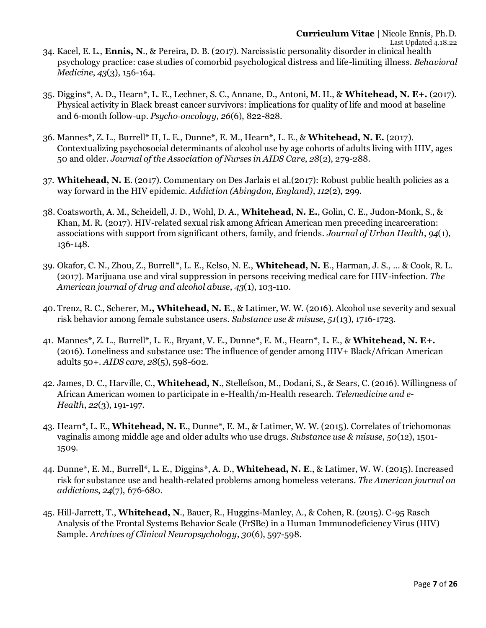- 34. Kacel, E. L., **Ennis, N**., & Pereira, D. B. (2017). Narcissistic personality disorder in clinical health psychology practice: case studies of comorbid psychological distress and life-limiting illness. *Behavioral Medicine*, *43*(3), 156-164.
- 35. Diggins\*, A. D., Hearn\*, L. E., Lechner, S. C., Annane, D., Antoni, M. H., & **Whitehead, N. E+.** (2017). Physical activity in Black breast cancer survivors: implications for quality of life and mood at baseline and 6‐month follow‐up. *Psycho‐oncology*, *26*(6), 822-828.
- 36. Mannes\*, Z. L., Burrell\* II, L. E., Dunne\*, E. M., Hearn\*, L. E., & **Whitehead, N. E.** (2017). Contextualizing psychosocial determinants of alcohol use by age cohorts of adults living with HIV, ages 50 and older. *Journal of the Association of Nurses in AIDS Care*, *28*(2), 279-288.
- 37. **Whitehead, N. E**. (2017). Commentary on Des Jarlais et al.(2017): Robust public health policies as a way forward in the HIV epidemic. *Addiction (Abingdon, England)*, *112*(2), 299.
- 38. Coatsworth, A. M., Scheidell, J. D., Wohl, D. A., **Whitehead, N. E.**, Golin, C. E., Judon-Monk, S., & Khan, M. R. (2017). HIV-related sexual risk among African American men preceding incarceration: associations with support from significant others, family, and friends. *Journal of Urban Health*, *94*(1), 136-148.
- 39. Okafor, C. N., Zhou, Z., Burrell\*, L. E., Kelso, N. E., **Whitehead, N. E**., Harman, J. S., ... & Cook, R. L. (2017). Marijuana use and viral suppression in persons receiving medical care for HIV-infection. *The American journal of drug and alcohol abuse*, *43*(1), 103-110.
- 40. Trenz, R. C., Scherer, M**., Whitehead, N. E**., & Latimer, W. W. (2016). Alcohol use severity and sexual risk behavior among female substance users. *Substance use & misuse*, *51*(13), 1716-1723.
- 41. Mannes\*, Z. L., Burrell\*, L. E., Bryant, V. E., Dunne\*, E. M., Hearn\*, L. E., & **Whitehead, N. E+.** (2016). Loneliness and substance use: The influence of gender among HIV+ Black/African American adults 50+. *AIDS care*, *28*(5), 598-602.
- 42. James, D. C., Harville, C., **Whitehead, N**., Stellefson, M., Dodani, S., & Sears, C. (2016). Willingness of African American women to participate in e-Health/m-Health research. *Telemedicine and e-Health*, *22*(3), 191-197.
- 43. Hearn\*, L. E., **Whitehead, N. E**., Dunne\*, E. M., & Latimer, W. W. (2015). Correlates of trichomonas vaginalis among middle age and older adults who use drugs. *Substance use & misuse*, *50*(12), 1501- 1509.
- 44. Dunne\*, E. M., Burrell\*, L. E., Diggins\*, A. D., **Whitehead, N. E**., & Latimer, W. W. (2015). Increased risk for substance use and health‐related problems among homeless veterans. *The American journal on addictions*, *24*(7), 676-680.
- 45. Hill-Jarrett, T., **Whitehead, N**., Bauer, R., Huggins-Manley, A., & Cohen, R. (2015). C-95 Rasch Analysis of the Frontal Systems Behavior Scale (FrSBe) in a Human Immunodeficiency Virus (HIV) Sample. *Archives of Clinical Neuropsychology*, *30*(6), 597-598.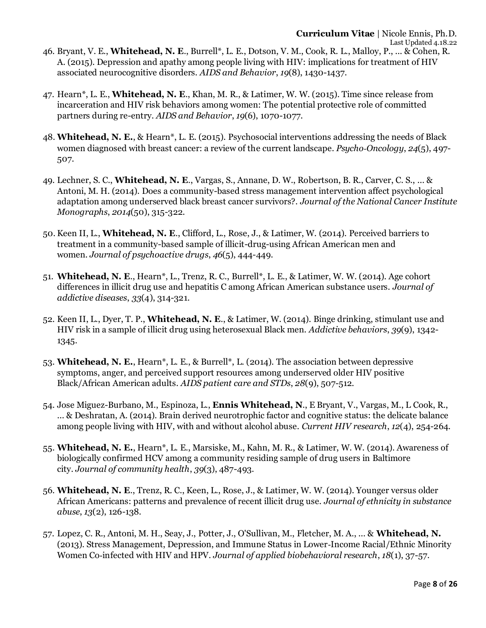47. Hearn\*, L. E., **Whitehead, N. E**., Khan, M. R., & Latimer, W. W. (2015). Time since release from incarceration and HIV risk behaviors among women: The potential protective role of committed partners during re-entry. *AIDS and Behavior*, *19*(6), 1070-1077.

associated neurocognitive disorders. *AIDS and Behavior*, *19*(8), 1430-1437.

- 48. **Whitehead, N. E.**, & Hearn\*, L. E. (2015). Psychosocial interventions addressing the needs of Black women diagnosed with breast cancer: a review of the current landscape. *Psycho‐Oncology*, *24*(5), 497- 507.
- 49. Lechner, S. C., **Whitehead, N. E**., Vargas, S., Annane, D. W., Robertson, B. R., Carver, C. S., ... & Antoni, M. H. (2014). Does a community-based stress management intervention affect psychological adaptation among underserved black breast cancer survivors?. *Journal of the National Cancer Institute Monographs*, *2014*(50), 315-322.
- 50. Keen II, L., **Whitehead, N. E**., Clifford, L., Rose, J., & Latimer, W. (2014). Perceived barriers to treatment in a community-based sample of illicit-drug-using African American men and women. *Journal of psychoactive drugs*, *46*(5), 444-449.
- 51. **Whitehead, N. E**., Hearn\*, L., Trenz, R. C., Burrell\*, L. E., & Latimer, W. W. (2014). Age cohort differences in illicit drug use and hepatitis C among African American substance users. *Journal of addictive diseases*, *33*(4), 314-321.
- 52. Keen II, L., Dyer, T. P., **Whitehead, N. E**., & Latimer, W. (2014). Binge drinking, stimulant use and HIV risk in a sample of illicit drug using heterosexual Black men. *Addictive behaviors*, *39*(9), 1342- 1345.
- 53. **Whitehead, N. E.**, Hearn\*, L. E., & Burrell\*, L. (2014). The association between depressive symptoms, anger, and perceived support resources among underserved older HIV positive Black/African American adults. *AIDS patient care and STDs*, *28*(9), 507-512.
- 54. Jose Miguez-Burbano, M., Espinoza, L., **Ennis Whitehead, N**., E Bryant, V., Vargas, M., L Cook, R., ... & Deshratan, A. (2014). Brain derived neurotrophic factor and cognitive status: the delicate balance among people living with HIV, with and without alcohol abuse. *Current HIV research*, *12*(4), 254-264.
- 55. **Whitehead, N. E.**, Hearn\*, L. E., Marsiske, M., Kahn, M. R., & Latimer, W. W. (2014). Awareness of biologically confirmed HCV among a community residing sample of drug users in Baltimore city. *Journal of community health*, *39*(3), 487-493.
- 56. **Whitehead, N. E**., Trenz, R. C., Keen, L., Rose, J., & Latimer, W. W. (2014). Younger versus older African Americans: patterns and prevalence of recent illicit drug use. *Journal of ethnicity in substance abuse*, *13*(2), 126-138.
- 57. Lopez, C. R., Antoni, M. H., Seay, J., Potter, J., O'Sullivan, M., Fletcher, M. A., ... & **Whitehead, N.** (2013). Stress Management, Depression, and Immune Status in Lower‐Income Racial/Ethnic Minority Women Co‐infected with HIV and HPV. *Journal of applied biobehavioral research*, *18*(1), 37-57.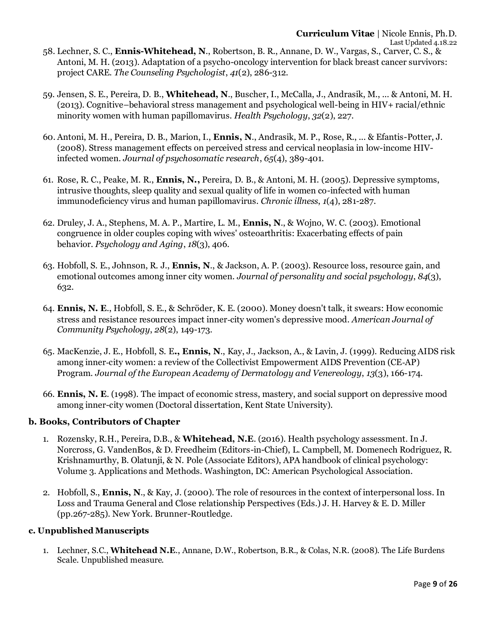- project CARE. *The Counseling Psychologist*, *41*(2), 286-312. 59. Jensen, S. E., Pereira, D. B., **Whitehead, N**., Buscher, I., McCalla, J., Andrasik, M., ... & Antoni, M. H.
- (2013). Cognitive–behavioral stress management and psychological well-being in HIV+ racial/ethnic minority women with human papillomavirus. *Health Psychology*, *32*(2), 227.
- 60. Antoni, M. H., Pereira, D. B., Marion, I., **Ennis, N**., Andrasik, M. P., Rose, R., ... & Efantis-Potter, J. (2008). Stress management effects on perceived stress and cervical neoplasia in low-income HIVinfected women. *Journal of psychosomatic research*, *65*(4), 389-401.
- 61. Rose, R. C., Peake, M. R., **Ennis, N.,** Pereira, D. B., & Antoni, M. H. (2005). Depressive symptoms, intrusive thoughts, sleep quality and sexual quality of life in women co-infected with human immunodeficiency virus and human papillomavirus. *Chronic illness*, *1*(4), 281-287.
- 62. Druley, J. A., Stephens, M. A. P., Martire, L. M., **Ennis, N**., & Wojno, W. C. (2003). Emotional congruence in older couples coping with wives' osteoarthritis: Exacerbating effects of pain behavior. *Psychology and Aging*, *18*(3), 406.
- 63. Hobfoll, S. E., Johnson, R. J., **Ennis, N**., & Jackson, A. P. (2003). Resource loss, resource gain, and emotional outcomes among inner city women. *Journal of personality and social psychology*, *84*(3), 632.
- 64. **Ennis, N. E**., Hobfoll, S. E., & Schröder, K. E. (2000). Money doesn't talk, it swears: How economic stress and resistance resources impact inner‐city women's depressive mood. *American Journal of Community Psychology*, *28*(2), 149-173.
- 65. MacKenzie, J. E., Hobfoll, S. E**., Ennis, N**., Kay, J., Jackson, A., & Lavin, J. (1999). Reducing AIDS risk among inner-city women: a review of the Collectivist Empowerment AIDS Prevention (CE-AP) Program. *Journal of the European Academy of Dermatology and Venereology*, *13*(3), 166-174.
- 66. **Ennis, N. E**. (1998). The impact of economic stress, mastery, and social support on depressive mood among inner-city women (Doctoral dissertation, Kent State University).

## **b. Books, Contributors of Chapter**

- 1. Rozensky, R.H., Pereira, D.B., & **Whitehead, N.E**. (2016). Health psychology assessment. In J. Norcross, G. VandenBos, & D. Freedheim (Editors-in-Chief), L. Campbell, M. Domenech Rodriguez, R. Krishnamurthy, B. Olatunji, & N. Pole (Associate Editors), APA handbook of clinical psychology: Volume 3. Applications and Methods. Washington, DC: American Psychological Association.
- 2. Hobfoll, S., **Ennis, N**., & Kay, J. (2000). The role of resources in the context of interpersonal loss. In Loss and Trauma General and Close relationship Perspectives (Eds.) J. H. Harvey & E. D. Miller (pp.267-285). New York. Brunner-Routledge.

## **c. Unpublished Manuscripts**

1. Lechner, S.C., **Whitehead N.E**., Annane, D.W., Robertson, B.R., & Colas, N.R. (2008). The Life Burdens Scale. Unpublished measure.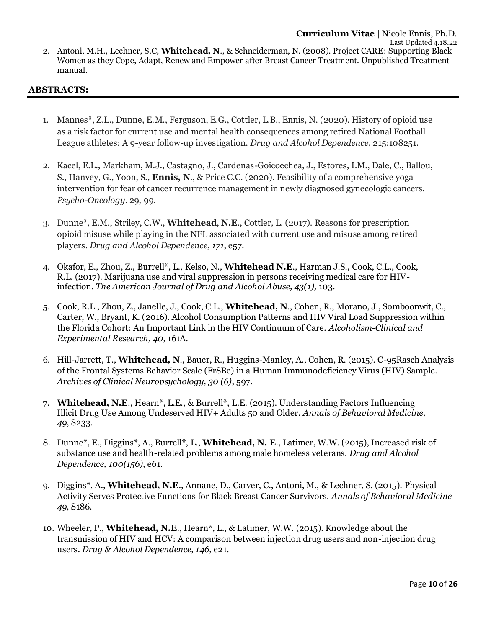### **ABSTRACTS:**

manual.

- 1. Mannes\*, Z.L., Dunne, E.M., Ferguson, E.G., Cottler, L.B., Ennis, N. (2020). History of opioid use as a risk factor for current use and mental health consequences among retired National Football League athletes: A 9-year follow-up investigation. *Drug and Alcohol Dependence*, 215:108251.
- 2. Kacel, E.L., Markham, M.J., Castagno, J., Cardenas-Goicoechea, J., Estores, I.M., Dale, C., Ballou, S., Hanvey, G., Yoon, S., **Ennis, N**., & Price C.C. (2020). Feasibility of a comprehensive yoga intervention for fear of cancer recurrence management in newly diagnosed gynecologic cancers. *Psycho-Oncology*. 29, 99.
- 3. Dunne\*, E.M., Striley, C.W., **Whitehead**, **N.E**., Cottler, L. (2017). Reasons for prescription opioid misuse while playing in the NFL associated with current use and misuse among retired players. *Drug and Alcohol Dependence, 171*, e57.
- 4. Okafor, E., Zhou, Z., Burrell\*, L., Kelso, N., **Whitehead N.E**., Harman J.S., Cook, C.L., Cook, R.L. (2017). Marijuana use and viral suppression in persons receiving medical care for HIVinfection. *The American Journal of Drug and Alcohol Abuse, 43(1),* 103.
- 5. Cook, R.L., Zhou, Z., Janelle, J., Cook, C.L., **Whitehead, N**., Cohen, R., Morano, J., Somboonwit, C., Carter, W., Bryant, K. (2016). Alcohol Consumption Patterns and HIV Viral Load Suppression within the Florida Cohort: An Important Link in the HIV Continuum of Care. *Alcoholism-Clinical and Experimental Research, 40,* 161A.
- 6. Hill-Jarrett, T., **Whitehead, N**., Bauer, R., Huggins-Manley, A., Cohen, R. (2015). C-95Rasch Analysis of the Frontal Systems Behavior Scale (FrSBe) in a Human Immunodeficiency Virus (HIV) Sample. *Archives of Clinical Neuropsychology, 30 (6)*, 597.
- 7. **Whitehead, N.E**., Hearn\*, L.E., & Burrell\*, L.E. (2015). Understanding Factors Influencing Illicit Drug Use Among Undeserved HIV+ Adults 50 and Older. *Annals of Behavioral Medicine, 49*, S233.
- 8. Dunne\*, E., Diggins\*, A., Burrell\*, L., **Whitehead, N. E**., Latimer, W.W. (2015), Increased risk of substance use and health-related problems among male homeless veterans. *Drug and Alcohol Dependence, 100(156)*, e61.
- 9. Diggins\*, A., **Whitehead, N.E**., Annane, D., Carver, C., Antoni, M., & Lechner, S. (2015). Physical Activity Serves Protective Functions for Black Breast Cancer Survivors. *Annals of Behavioral Medicine 49,* S186.
- 10. Wheeler, P., **Whitehead, N.E**., Hearn\*, L., & Latimer, W.W. (2015). Knowledge about the transmission of HIV and HCV: A comparison between injection drug users and non-injection drug users. *Drug & Alcohol Dependence, 146*, e21.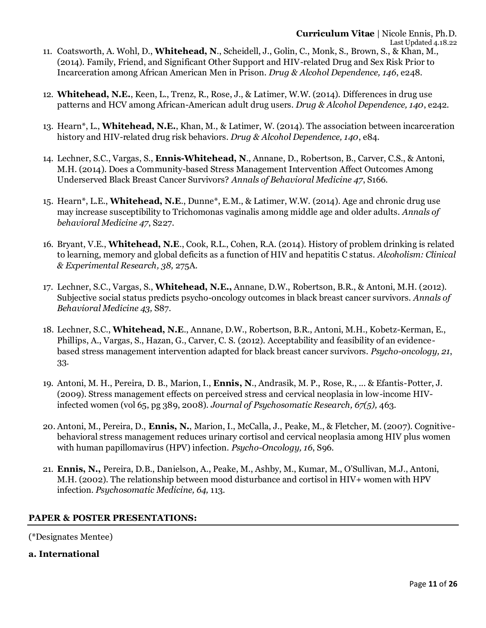- 11. Coatsworth, A. Wohl, D., **Whitehead, N**., Scheidell, J., Golin, C., Monk, S., Brown, S., & Khan, M., (2014). Family, Friend, and Significant Other Support and HIV-related Drug and Sex Risk Prior to Incarceration among African American Men in Prison. *Drug & Alcohol Dependence, 146*, e248.
- 12. **Whitehead, N.E.**, Keen, L., Trenz, R., Rose, J., & Latimer, W.W. (2014). Differences in drug use patterns and HCV among African-American adult drug users. *Drug & Alcohol Dependence, 140*, e242.
- 13. Hearn\*, L., **Whitehead, N.E.**, Khan, M., & Latimer, W. (2014). The association between incarceration history and HIV-related drug risk behaviors. *Drug & Alcohol Dependence, 140*, e84.
- 14. Lechner, S.C., Vargas, S., **Ennis-Whitehead, N**., Annane, D., Robertson, B., Carver, C.S., & Antoni, M.H. (2014). Does a Community-based Stress Management Intervention Affect Outcomes Among Underserved Black Breast Cancer Survivors? *Annals of Behavioral Medicine 47*, S166.
- 15. Hearn\*, L.E., **Whitehead, N.E**., Dunne\*, E.M., & Latimer, W.W. (2014). Age and chronic drug use may increase susceptibility to Trichomonas vaginalis among middle age and older adults. *Annals of behavioral Medicine 47*, S227.
- 16. Bryant, V.E., **Whitehead, N.E**., Cook, R.L., Cohen, R.A. (2014). History of problem drinking is related to learning, memory and global deficits as a function of HIV and hepatitis C status. *Alcoholism: Clinical & Experimental Research, 38,* 275A.
- 17. Lechner, S.C., Vargas, S., **Whitehead, N.E.,** Annane, D.W., Robertson, B.R., & Antoni, M.H. (2012). Subjective social status predicts psycho-oncology outcomes in black breast cancer survivors. *Annals of Behavioral Medicine 43,* S87.
- 18. Lechner, S.C., **Whitehead, N.E**., Annane, D.W., Robertson, B.R., Antoni, M.H., Kobetz-Kerman, E., Phillips, A., Vargas, S., Hazan, G., Carver, C. S. (2012). Acceptability and feasibility of an evidencebased stress management intervention adapted for black breast cancer survivors. *Psycho-oncology, 21*, 33.
- 19. Antoni, M. H., Pereira, D. B., Marion, I., **Ennis, N**., Andrasik, M. P., Rose, R., ... & Efantis-Potter, J. (2009). Stress management effects on perceived stress and cervical neoplasia in low-income HIVinfected women (vol 65, pg 389, 2008). *Journal of Psychosomatic Research, 67(5),* 463.
- 20. Antoni, M., Pereira, D., **Ennis, N.**, Marion, I., McCalla, J., Peake, M., & Fletcher, M. (2007). Cognitivebehavioral stress management reduces urinary cortisol and cervical neoplasia among HIV plus women with human papillomavirus (HPV) infection. *Psycho-Oncology, 16*, S96.
- 21. **Ennis, N.,** Pereira, D.B., Danielson, A., Peake, M., Ashby, M., Kumar, M., O'Sullivan, M.J., Antoni, M.H. (2002). The relationship between mood disturbance and cortisol in HIV+ women with HPV infection. *Psychosomatic Medicine, 64,* 113.

## **PAPER & POSTER PRESENTATIONS:**

(\*Designates Mentee)

## **a. International**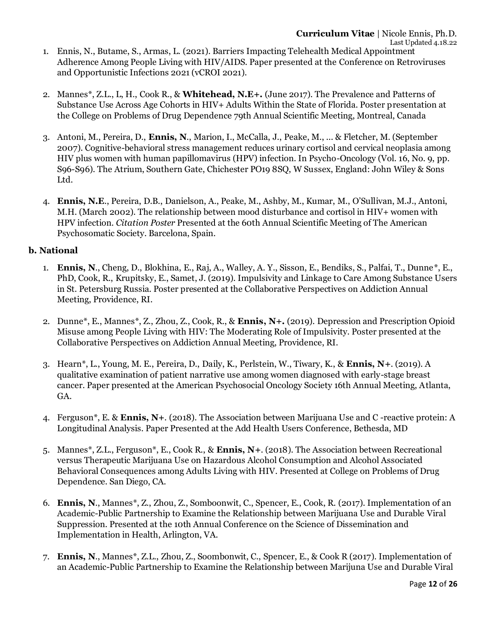- 1. Ennis, N., Butame, S., Armas, L. (2021). Barriers Impacting Telehealth Medical Appointment Adherence Among People Living with HIV/AIDS. Paper presented at the Conference on Retroviruses and Opportunistic Infections 2021 (vCROI 2021).
- 2. Mannes\*, Z.L., L, H., Cook R., & **Whitehead, N.E+.** (June 2017). The Prevalence and Patterns of Substance Use Across Age Cohorts in HIV+ Adults Within the State of Florida. Poster presentation at the College on Problems of Drug Dependence 79th Annual Scientific Meeting, Montreal, Canada
- 3. Antoni, M., Pereira, D., **Ennis, N**., Marion, I., McCalla, J., Peake, M., ... & Fletcher, M. (September 2007). Cognitive-behavioral stress management reduces urinary cortisol and cervical neoplasia among HIV plus women with human papillomavirus (HPV) infection. In Psycho-Oncology (Vol. 16, No. 9, pp. S96-S96). The Atrium, Southern Gate, Chichester PO19 8SQ, W Sussex, England: John Wiley & Sons Ltd.
- 4. **Ennis, N.E**., Pereira, D.B., Danielson, A., Peake, M., Ashby, M., Kumar, M., O'Sullivan, M.J., Antoni, M.H. (March 2002). The relationship between mood disturbance and cortisol in HIV+ women with HPV infection. *Citation Poster* Presented at the 60th Annual Scientific Meeting of The American Psychosomatic Society. Barcelona, Spain.

## **b. National**

- 1. **Ennis, N**., Cheng, D., Blokhina, E., Raj, A., Walley, A. Y., Sisson, E., Bendiks, S., Palfai, T., Dunne\*, E., PhD, Cook, R., Krupitsky, E., Samet, J. (2019). Impulsivity and Linkage to Care Among Substance Users in St. Petersburg Russia. Poster presented at the Collaborative Perspectives on Addiction Annual Meeting, Providence, RI.
- 2. Dunne\*, E., Mannes\*, Z., Zhou, Z., Cook, R., & **Ennis, N+.** (2019). Depression and Prescription Opioid Misuse among People Living with HIV: The Moderating Role of Impulsivity. Poster presented at the Collaborative Perspectives on Addiction Annual Meeting, Providence, RI.
- 3. Hearn\*, L., Young, M. E., Pereira, D., Daily, K., Perlstein, W., Tiwary, K., & **Ennis, N+**. (2019). A qualitative examination of patient narrative use among women diagnosed with early-stage breast cancer. Paper presented at the American Psychosocial Oncology Society 16th Annual Meeting, Atlanta, GA.
- 4. Ferguson\*, E. & **Ennis, N+**. (2018). The Association between Marijuana Use and C -reactive protein: A Longitudinal Analysis. Paper Presented at the Add Health Users Conference, Bethesda, MD
- 5. Mannes\*, Z.L., Ferguson\*, E., Cook R., & **Ennis, N+**. (2018). The Association between Recreational versus Therapeutic Marijuana Use on Hazardous Alcohol Consumption and Alcohol Associated Behavioral Consequences among Adults Living with HIV. Presented at College on Problems of Drug Dependence. San Diego, CA.
- 6. **Ennis, N**., Mannes\*, Z., Zhou, Z., Somboonwit, C., Spencer, E., Cook, R. (2017). Implementation of an Academic-Public Partnership to Examine the Relationship between Marijuana Use and Durable Viral Suppression. Presented at the 10th Annual Conference on the Science of Dissemination and Implementation in Health, Arlington, VA.
- 7. **Ennis, N**., Mannes\*, Z.L., Zhou, Z., Soombonwit, C., Spencer, E., & Cook R (2017). Implementation of an Academic-Public Partnership to Examine the Relationship between Marijuna Use and Durable Viral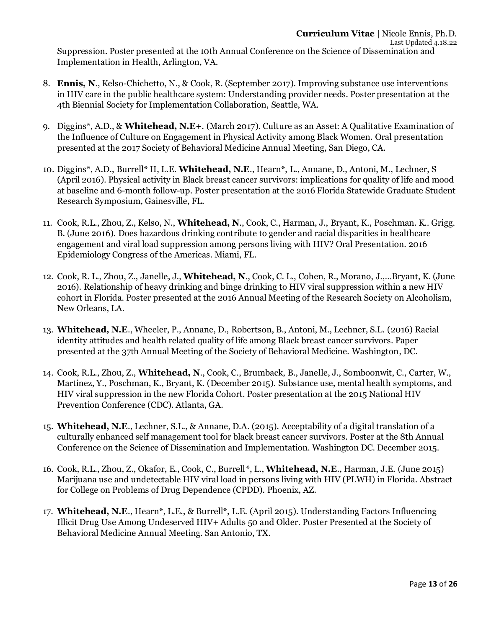Suppression. Poster presented at the 10th Annual Conference on the Science of Dissemination and Implementation in Health, Arlington, VA.

- 8. **Ennis, N**., Kelso-Chichetto, N., & Cook, R. (September 2017). Improving substance use interventions in HIV care in the public healthcare system: Understanding provider needs. Poster presentation at the 4th Biennial Society for Implementation Collaboration, Seattle, WA.
- 9. Diggins\*, A.D., & **Whitehead, N.E+**. (March 2017). Culture as an Asset: A Qualitative Examination of the Influence of Culture on Engagement in Physical Activity among Black Women. Oral presentation presented at the 2017 Society of Behavioral Medicine Annual Meeting, San Diego, CA.
- 10. Diggins\*, A.D., Burrell\* II, L.E. **Whitehead, N.E**., Hearn\*, L., Annane, D., Antoni, M., Lechner, S (April 2016). Physical activity in Black breast cancer survivors: implications for quality of life and mood at baseline and 6-month follow-up. Poster presentation at the 2016 Florida Statewide Graduate Student Research Symposium, Gainesville, FL.
- 11. Cook, R.L., Zhou, Z., Kelso, N., **Whitehead, N**., Cook, C., Harman, J., Bryant, K., Poschman. K.. Grigg. B. (June 2016). Does hazardous drinking contribute to gender and racial disparities in healthcare engagement and viral load suppression among persons living with HIV? Oral Presentation. 2016 Epidemiology Congress of the Americas. Miami, FL.
- 12. Cook, R. L., Zhou, Z., Janelle, J., **Whitehead, N**., Cook, C. L., Cohen, R., Morano, J.,…Bryant, K. (June 2016). Relationship of heavy drinking and binge drinking to HIV viral suppression within a new HIV cohort in Florida. Poster presented at the 2016 Annual Meeting of the Research Society on Alcoholism, New Orleans, LA.
- 13. **Whitehead, N.E**., Wheeler, P., Annane, D., Robertson, B., Antoni, M., Lechner, S.L. (2016) Racial identity attitudes and health related quality of life among Black breast cancer survivors. Paper presented at the 37th Annual Meeting of the Society of Behavioral Medicine. Washington, DC.
- 14. Cook, R.L., Zhou, Z., **Whitehead, N**., Cook, C., Brumback, B., Janelle, J., Somboonwit, C., Carter, W., Martinez, Y., Poschman, K., Bryant, K. (December 2015). Substance use, mental health symptoms, and HIV viral suppression in the new Florida Cohort. Poster presentation at the 2015 National HIV Prevention Conference (CDC). Atlanta, GA.
- 15. **Whitehead, N.E**., Lechner, S.L., & Annane, D.A. (2015). Acceptability of a digital translation of a culturally enhanced self management tool for black breast cancer survivors. Poster at the 8th Annual Conference on the Science of Dissemination and Implementation. Washington DC. December 2015.
- 16. Cook, R.L., Zhou, Z., Okafor, E., Cook, C., Burrell\*, L., **Whitehead, N.E**., Harman, J.E. (June 2015) Marijuana use and undetectable HIV viral load in persons living with HIV (PLWH) in Florida. Abstract for College on Problems of Drug Dependence (CPDD). Phoenix, AZ.
- 17. **Whitehead, N.E**., Hearn\*, L.E., & Burrell\*, L.E. (April 2015). Understanding Factors Influencing Illicit Drug Use Among Undeserved HIV+ Adults 50 and Older. Poster Presented at the Society of Behavioral Medicine Annual Meeting. San Antonio, TX.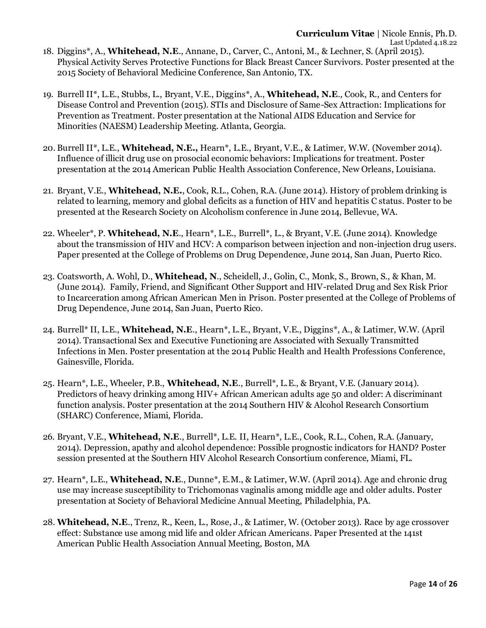- 18. Diggins\*, A., **Whitehead, N.E**., Annane, D., Carver, C., Antoni, M., & Lechner, S. (April 2015). Physical Activity Serves Protective Functions for Black Breast Cancer Survivors. Poster presented at the 2015 Society of Behavioral Medicine Conference, San Antonio, TX.
- 19. Burrell II\*, L.E., Stubbs, L., Bryant, V.E., Diggins\*, A., **Whitehead, N.E**., Cook, R., and Centers for Disease Control and Prevention (2015). STIs and Disclosure of Same-Sex Attraction: Implications for Prevention as Treatment. Poster presentation at the National AIDS Education and Service for Minorities (NAESM) Leadership Meeting. Atlanta, Georgia.
- 20. Burrell II\*, L.E., **Whitehead, N.E.,** Hearn\*, L.E., Bryant, V.E., & Latimer, W.W. (November 2014). Influence of illicit drug use on prosocial economic behaviors: Implications for treatment. Poster presentation at the 2014 American Public Health Association Conference, New Orleans, Louisiana.
- 21. Bryant, V.E., **Whitehead, N.E.**, Cook, R.L., Cohen, R.A. (June 2014). History of problem drinking is related to learning, memory and global deficits as a function of HIV and hepatitis C status. Poster to be presented at the Research Society on Alcoholism conference in June 2014, Bellevue, WA.
- 22. Wheeler\*, P. **Whitehead, N.E**., Hearn\*, L.E., Burrell\*, L., & Bryant, V.E. (June 2014). Knowledge about the transmission of HIV and HCV: A comparison between injection and non-injection drug users. Paper presented at the College of Problems on Drug Dependence, June 2014, San Juan, Puerto Rico.
- 23. Coatsworth, A. Wohl, D., **Whitehead, N**., Scheidell, J., Golin, C., Monk, S., Brown, S., & Khan, M. (June 2014). Family, Friend, and Significant Other Support and HIV-related Drug and Sex Risk Prior to Incarceration among African American Men in Prison. Poster presented at the College of Problems of Drug Dependence, June 2014, San Juan, Puerto Rico.
- 24. Burrell\* II, L.E., **Whitehead, N.E**., Hearn\*, L.E., Bryant, V.E., Diggins\*, A., & Latimer, W.W. (April 2014). Transactional Sex and Executive Functioning are Associated with Sexually Transmitted Infections in Men. Poster presentation at the 2014 Public Health and Health Professions Conference, Gainesville, Florida.
- 25. Hearn\*, L.E., Wheeler, P.B., **Whitehead, N.E**., Burrell\*, L.E., & Bryant, V.E. (January 2014). Predictors of heavy drinking among HIV+ African American adults age 50 and older: A discriminant function analysis. Poster presentation at the 2014 Southern HIV & Alcohol Research Consortium (SHARC) Conference, Miami, Florida.
- 26. Bryant, V.E., **Whitehead, N.E**., Burrell\*, L.E. II, Hearn\*, L.E., Cook, R.L., Cohen, R.A. (January, 2014). Depression, apathy and alcohol dependence: Possible prognostic indicators for HAND? Poster session presented at the Southern HIV Alcohol Research Consortium conference, Miami, FL.
- 27. Hearn\*, L.E., **Whitehead, N.E**., Dunne\*, E.M., & Latimer, W.W. (April 2014). Age and chronic drug use may increase susceptibility to Trichomonas vaginalis among middle age and older adults. Poster presentation at Society of Behavioral Medicine Annual Meeting, Philadelphia, PA.
- 28. **Whitehead, N.E**., Trenz, R., Keen, L., Rose, J., & Latimer, W. (October 2013). Race by age crossover effect: Substance use among mid life and older African Americans. Paper Presented at the 141st American Public Health Association Annual Meeting, Boston, MA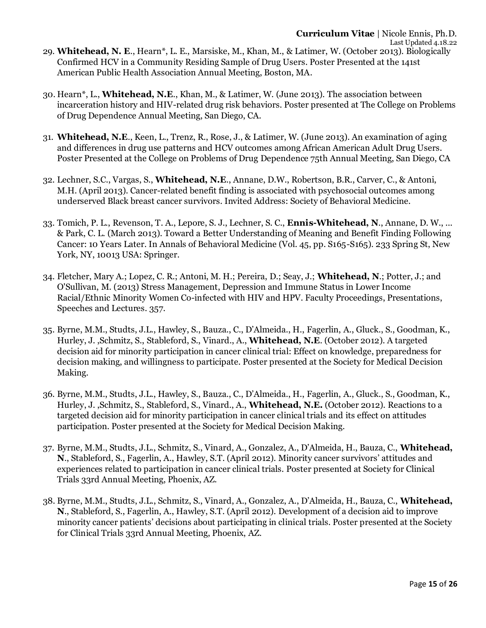30. Hearn\*, L., **Whitehead, N.E**., Khan, M., & Latimer, W. (June 2013). The association between incarceration history and HIV-related drug risk behaviors. Poster presented at The College on Problems of Drug Dependence Annual Meeting, San Diego, CA.

American Public Health Association Annual Meeting, Boston, MA.

- 31. **Whitehead, N.E**., Keen, L., Trenz, R., Rose, J., & Latimer, W. (June 2013). An examination of aging and differences in drug use patterns and HCV outcomes among African American Adult Drug Users. Poster Presented at the College on Problems of Drug Dependence 75th Annual Meeting, San Diego, CA
- 32. Lechner, S.C., Vargas, S., **Whitehead, N.E**., Annane, D.W., Robertson, B.R., Carver, C., & Antoni, M.H. (April 2013). Cancer-related benefit finding is associated with psychosocial outcomes among underserved Black breast cancer survivors. Invited Address: Society of Behavioral Medicine.
- 33. Tomich, P. L., Revenson, T. A., Lepore, S. J., Lechner, S. C., **Ennis-Whitehead, N**., Annane, D. W., ... & Park, C. L. (March 2013). Toward a Better Understanding of Meaning and Benefit Finding Following Cancer: 10 Years Later. In Annals of Behavioral Medicine (Vol. 45, pp. S165-S165). 233 Spring St, New York, NY, 10013 USA: Springer.
- 34. Fletcher, Mary A.; Lopez, C. R.; Antoni, M. H.; Pereira, D.; Seay, J.; **Whitehead, N**.; Potter, J.; and O'Sullivan, M. (2013) Stress Management, Depression and Immune Status in Lower Income Racial/Ethnic Minority Women Co-infected with HIV and HPV. Faculty Proceedings, Presentations, Speeches and Lectures*.* 357.
- 35. Byrne, M.M., Studts, J.L., Hawley, S., Bauza., C., D'Almeida., H., Fagerlin, A., Gluck., S., Goodman, K., Hurley, J. ,Schmitz, S., Stableford, S., Vinard., A., **Whitehead, N.E**. (October 2012). A targeted decision aid for minority participation in cancer clinical trial: Effect on knowledge, preparedness for decision making, and willingness to participate. Poster presented at the Society for Medical Decision Making.
- 36. Byrne, M.M., Studts, J.L., Hawley, S., Bauza., C., D'Almeida., H., Fagerlin, A., Gluck., S., Goodman, K., Hurley, J. ,Schmitz, S., Stableford, S., Vinard., A., **Whitehead, N.E.** (October 2012). Reactions to a targeted decision aid for minority participation in cancer clinical trials and its effect on attitudes participation. Poster presented at the Society for Medical Decision Making.
- 37. Byrne, M.M., Studts, J.L., Schmitz, S., Vinard, A., Gonzalez, A., D'Almeida, H., Bauza, C., **Whitehead, N**., Stableford, S., Fagerlin, A., Hawley, S.T. (April 2012). Minority cancer survivors' attitudes and experiences related to participation in cancer clinical trials. Poster presented at Society for Clinical Trials 33rd Annual Meeting, Phoenix, AZ.
- 38. Byrne, M.M., Studts, J.L., Schmitz, S., Vinard, A., Gonzalez, A., D'Almeida, H., Bauza, C., **Whitehead, N**., Stableford, S., Fagerlin, A., Hawley, S.T. (April 2012). Development of a decision aid to improve minority cancer patients' decisions about participating in clinical trials. Poster presented at the Society for Clinical Trials 33rd Annual Meeting, Phoenix, AZ.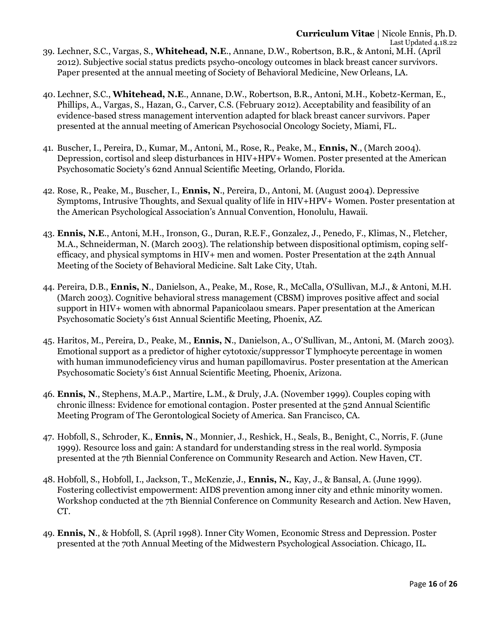- 39. Lechner, S.C., Vargas, S., **Whitehead, N.E**., Annane, D.W., Robertson, B.R., & Antoni, M.H. (April 2012). Subjective social status predicts psycho-oncology outcomes in black breast cancer survivors. Paper presented at the annual meeting of Society of Behavioral Medicine, New Orleans, LA.
- 40. Lechner, S.C., **Whitehead, N.E**., Annane, D.W., Robertson, B.R., Antoni, M.H., Kobetz-Kerman, E., Phillips, A., Vargas, S., Hazan, G., Carver, C.S. (February 2012). Acceptability and feasibility of an evidence-based stress management intervention adapted for black breast cancer survivors. Paper presented at the annual meeting of American Psychosocial Oncology Society, Miami, FL.
- 41. Buscher, I., Pereira, D., Kumar, M., Antoni, M., Rose, R., Peake, M., **Ennis, N**., (March 2004). Depression, cortisol and sleep disturbances in HIV+HPV+ Women. Poster presented at the American Psychosomatic Society's 62nd Annual Scientific Meeting, Orlando, Florida.
- 42. Rose, R., Peake, M., Buscher, I., **Ennis, N**., Pereira, D., Antoni, M. (August 2004). Depressive Symptoms, Intrusive Thoughts, and Sexual quality of life in HIV+HPV+ Women. Poster presentation at the American Psychological Association's Annual Convention, Honolulu, Hawaii.
- 43. **Ennis, N.E**., Antoni, M.H., Ironson, G., Duran, R.E.F., Gonzalez, J., Penedo, F., Klimas, N., Fletcher, M.A., Schneiderman, N. (March 2003). The relationship between dispositional optimism, coping selfefficacy, and physical symptoms in HIV+ men and women. Poster Presentation at the 24th Annual Meeting of the Society of Behavioral Medicine. Salt Lake City, Utah.
- 44. Pereira, D.B., **Ennis, N**., Danielson, A., Peake, M., Rose, R., McCalla, O'Sullivan, M.J., & Antoni, M.H. (March 2003). Cognitive behavioral stress management (CBSM) improves positive affect and social support in HIV+ women with abnormal Papanicolaou smears. Paper presentation at the American Psychosomatic Society's 61st Annual Scientific Meeting, Phoenix, AZ.
- 45. Haritos, M., Pereira, D., Peake, M., **Ennis, N**., Danielson, A., O'Sullivan, M., Antoni, M. (March 2003). Emotional support as a predictor of higher cytotoxic/suppressor T lymphocyte percentage in women with human immunodeficiency virus and human papillomavirus. Poster presentation at the American Psychosomatic Society's 61st Annual Scientific Meeting, Phoenix, Arizona.
- 46. **Ennis, N**., Stephens, M.A.P., Martire, L.M., & Druly, J.A. (November 1999). Couples coping with chronic illness: Evidence for emotional contagion. Poster presented at the 52nd Annual Scientific Meeting Program of The Gerontological Society of America. San Francisco, CA.
- 47. Hobfoll, S., Schroder, K., **Ennis, N**., Monnier, J., Reshick, H., Seals, B., Benight, C., Norris, F. (June 1999). Resource loss and gain: A standard for understanding stress in the real world. Symposia presented at the 7th Biennial Conference on Community Research and Action. New Haven, CT.
- 48. Hobfoll, S., Hobfoll, I., Jackson, T., McKenzie, J., **Ennis, N.**, Kay, J., & Bansal, A. (June 1999). Fostering collectivist empowerment: AIDS prevention among inner city and ethnic minority women. Workshop conducted at the 7th Biennial Conference on Community Research and Action. New Haven, CT.
- 49. **Ennis, N**., & Hobfoll, S. (April 1998). Inner City Women, Economic Stress and Depression. Poster presented at the 70th Annual Meeting of the Midwestern Psychological Association. Chicago, IL.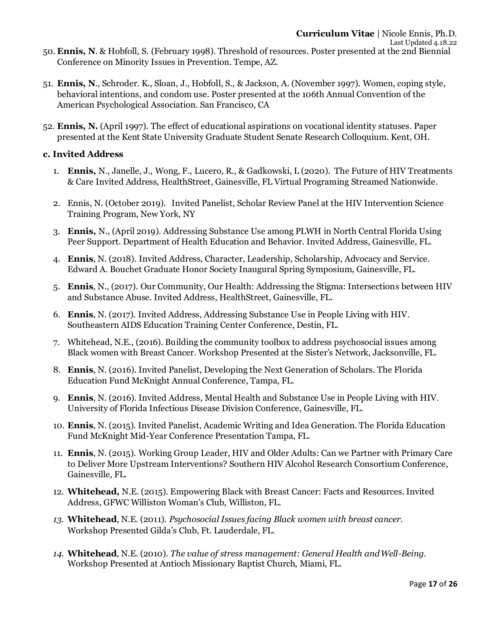- 50. **Ennis, N**. & Hobfoll, S. (February 1998). Threshold of resources. Poster presented at the 2nd Biennial Conference on Minority Issues in Prevention. Tempe, AZ.
- 51. **Ennis, N**., Schroder. K., Sloan, J., Hobfoll, S., & Jackson, A. (November 1997). Women, coping style, behavioral intentions, and condom use. Poster presented at the 106th Annual Convention of the American Psychological Association. San Francisco, CA
- 52. **Ennis, N.** (April 1997). The effect of educational aspirations on vocational identity statuses. Paper presented at the Kent State University Graduate Student Senate Research Colloquium. Kent, OH.

## **c. Invited Address**

- 1. **Ennis,** N., Janelle, J., Wong, F., Lucero, R., & Gadkowski, L (2020). The Future of HIV Treatments & Care Invited Address, HealthStreet, Gainesville, FL Virtual Programing Streamed Nationwide.
- 2. Ennis, N. (October 2019). Invited Panelist, Scholar Review Panel at the HIV Intervention Science Training Program, New York, NY
- 3. **Ennis,** N., (April 2019). Addressing Substance Use among PLWH in North Central Florida Using Peer Support. Department of Health Education and Behavior. Invited Address, Gainesville, FL.
- 4. **Ennis**, N. (2018). Invited Address, Character, Leadership, Scholarship, Advocacy and Service. Edward A. Bouchet Graduate Honor Society Inaugural Spring Symposium, Gainesville, FL.
- 5. **Ennis**, N., (2017). Our Community, Our Health: Addressing the Stigma: Intersections between HIV and Substance Abuse. Invited Address, HealthStreet, Gainesville, FL.
- 6. **Ennis**, N. (2017). Invited Address, Addressing Substance Use in People Living with HIV. Southeastern AIDS Education Training Center Conference, Destin, FL.
- 7. Whitehead, N.E., (2016). Building the community toolbox to address psychosocial issues among Black women with Breast Cancer. Workshop Presented at the Sister's Network, Jacksonville, FL.
- 8. **Ennis**, N. (2016). Invited Panelist, Developing the Next Generation of Scholars. The Florida Education Fund McKnight Annual Conference, Tampa, FL.
- 9. **Ennis**, N. (2016). Invited Address, Mental Health and Substance Use in People Living with HIV. University of Florida Infectious Disease Division Conference, Gainesville, FL.
- 10. **Ennis**, N. (2015). Invited Panelist, Academic Writing and Idea Generation. The Florida Education Fund McKnight Mid-Year Conference Presentation Tampa, FL.
- 11. **Ennis**, N. (2015). Working Group Leader, HIV and Older Adults: Can we Partner with Primary Care to Deliver More Upstream Interventions? Southern HIV Alcohol Research Consortium Conference, Gainesville, FL.
- 12. **Whitehead,** N.E. (2015). Empowering Black with Breast Cancer: Facts and Resources. Invited Address, GFWC Williston Woman's Club, Williston, FL.
- *13.* **Whitehead**, N.E. (2011). *Psychosocial Issues facing Black women with breast cancer.* Workshop Presented Gilda's Club, Ft. Lauderdale, FL.
- *14.* **Whitehead**, N.E. (2010). *The value of stress management: General Health andWell-Being.* Workshop Presented at Antioch Missionary Baptist Church, Miami, FL.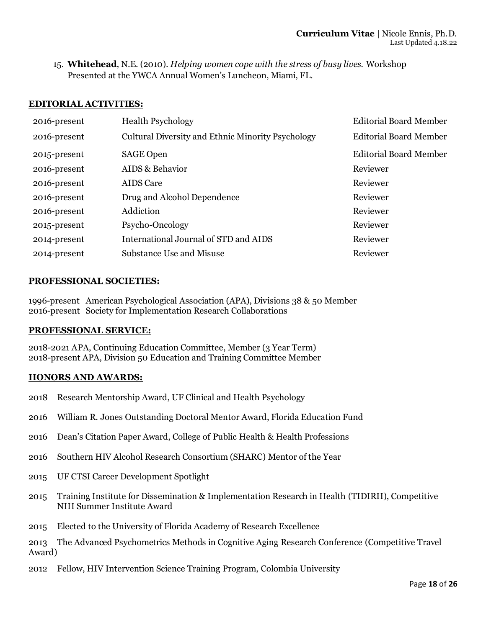15. **Whitehead**, N.E. (2010). *Helping women cope with the stress of busy lives.* Workshop Presented at the YWCA Annual Women's Luncheon, Miami, FL.

#### **EDITORIAL ACTIVITIES:**

| 2016-present | <b>Health Psychology</b>                          | <b>Editorial Board Member</b> |
|--------------|---------------------------------------------------|-------------------------------|
| 2016-present | Cultural Diversity and Ethnic Minority Psychology | <b>Editorial Board Member</b> |
| 2015-present | <b>SAGE Open</b>                                  | <b>Editorial Board Member</b> |
| 2016-present | AIDS & Behavior                                   | Reviewer                      |
| 2016-present | <b>AIDS</b> Care                                  | Reviewer                      |
| 2016-present | Drug and Alcohol Dependence                       | Reviewer                      |
| 2016-present | Addiction                                         | Reviewer                      |
| 2015-present | Psycho-Oncology                                   | Reviewer                      |
| 2014-present | International Journal of STD and AIDS             | Reviewer                      |
| 2014-present | <b>Substance Use and Misuse</b>                   | Reviewer                      |

### **PROFESSIONAL SOCIETIES:**

1996-present American Psychological Association (APA), Divisions 38 & 50 Member 2016-present Society for Implementation Research Collaborations

#### **PROFESSIONAL SERVICE:**

2018-2021 APA, Continuing Education Committee, Member (3 Year Term) 2018-present APA, Division 50 Education and Training Committee Member

#### **HONORS AND AWARDS:**

- 2018 Research Mentorship Award, UF Clinical and Health Psychology
- 2016 William R. Jones Outstanding Doctoral Mentor Award, Florida Education Fund
- 2016 Dean's Citation Paper Award, College of Public Health & Health Professions
- 2016 Southern HIV Alcohol Research Consortium (SHARC) Mentor of the Year
- 2015 UF CTSI Career Development Spotlight
- 2015 Training Institute for Dissemination & Implementation Research in Health (TIDIRH), Competitive NIH Summer Institute Award
- 2015 Elected to the University of Florida Academy of Research Excellence

2013 The Advanced Psychometrics Methods in Cognitive Aging Research Conference (Competitive Travel Award)

2012 Fellow, HIV Intervention Science Training Program, Colombia University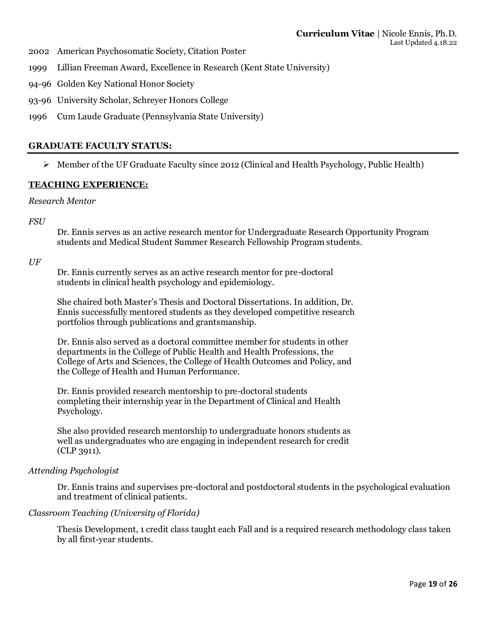- 2002 American Psychosomatic Society, Citation Poster
- 1999 Lillian Freeman Award, Excellence in Research (Kent State University)
- 94-96 Golden Key National Honor Society
- 93-96 University Scholar, Schreyer Honors College
- 1996 Cum Laude Graduate (Pennsylvania State University)

### **GRADUATE FACULTY STATUS:**

 $\triangleright$  Member of the UF Graduate Faculty since 2012 (Clinical and Health Psychology, Public Health)

### **TEACHING EXPERIENCE:**

#### *Research Mentor*

*FSU* 

Dr. Ennis serves as an active research mentor for Undergraduate Research Opportunity Program students and Medical Student Summer Research Fellowship Program students.

### *UF*

Dr. Ennis currently serves as an active research mentor for pre-doctoral students in clinical health psychology and epidemiology.

She chaired both Master's Thesis and Doctoral Dissertations. In addition, Dr. Ennis successfully mentored students as they developed competitive research portfolios through publications and grantsmanship.

Dr. Ennis also served as a doctoral committee member for students in other departments in the College of Public Health and Health Professions, the College of Arts and Sciences, the College of Health Outcomes and Policy, and the College of Health and Human Performance.

Dr. Ennis provided research mentorship to pre-doctoral students completing their internship year in the Department of Clinical and Health Psychology.

She also provided research mentorship to undergraduate honors students as well as undergraduates who are engaging in independent research for credit (CLP 3911).

### *Attending Psychologist*

Dr. Ennis trains and supervises pre-doctoral and postdoctoral students in the psychological evaluation and treatment of clinical patients.

### *Classroom Teaching (University of Florida)*

Thesis Development, 1 credit class taught each Fall and is a required research methodology class taken by all first-year students.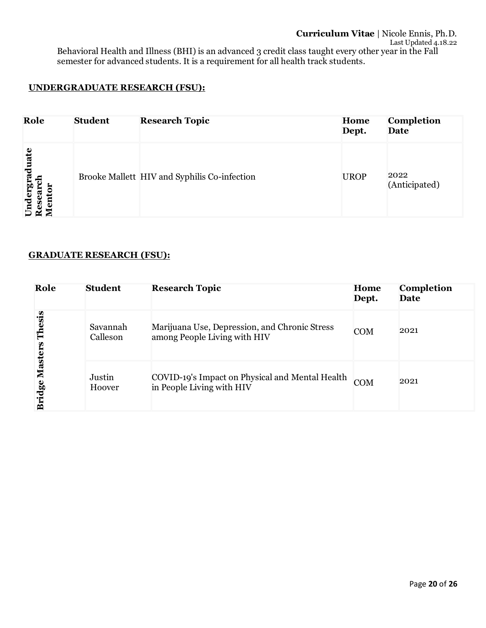## **UNDERGRADUATE RESEARCH (FSU):**

| Role                                                 | <b>Student</b> | <b>Research Topic</b>                        | Home<br>Dept. | <b>Completion</b><br>Date |
|------------------------------------------------------|----------------|----------------------------------------------|---------------|---------------------------|
| Undergraduate<br>ලි<br>ā<br>ā<br>ω<br>Š<br>$\approx$ |                | Brooke Mallett HIV and Syphilis Co-infection | <b>UROP</b>   | 2022<br>(Anticipated)     |

## **GRADUATE RESEARCH (FSU):**

| Role              | <b>Student</b>       | <b>Research Topic</b>                                                         | Home<br>Dept. | <b>Completion</b><br>Date |
|-------------------|----------------------|-------------------------------------------------------------------------------|---------------|---------------------------|
| Thesis            | Savannah<br>Calleson | Marijuana Use, Depression, and Chronic Stress<br>among People Living with HIV | <b>COM</b>    | 2021                      |
| Masters<br>Bridge | Justin<br>Hoover     | COVID-19's Impact on Physical and Mental Health<br>in People Living with HIV  | <b>COM</b>    | 2021                      |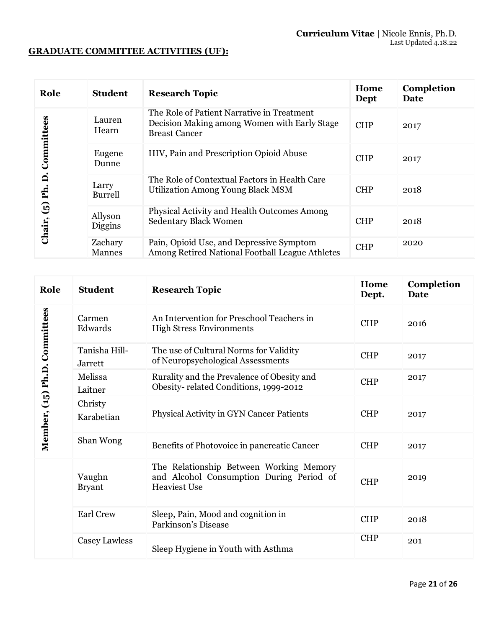## **GRADUATE COMMITTEE ACTIVITIES (UF):**

| Role                     | <b>Student</b>           | <b>Research Topic</b>                                                                                              | Home<br>Dept | Completion<br>Date |
|--------------------------|--------------------------|--------------------------------------------------------------------------------------------------------------------|--------------|--------------------|
|                          | Lauren<br>Hearn          | The Role of Patient Narrative in Treatment<br>Decision Making among Women with Early Stage<br><b>Breast Cancer</b> | <b>CHP</b>   | 2017               |
| Committees               | Eugene<br>Dunne          | HIV, Pain and Prescription Opioid Abuse                                                                            | <b>CHP</b>   | 2017               |
| $\dot{\mathsf n}$<br>Ph. | Larry<br>Burrell         | The Role of Contextual Factors in Health Care<br><b>Utilization Among Young Black MSM</b>                          | <b>CHP</b>   | 2018               |
| $\mathbf{G}$<br>Chair,   | Allyson<br>Diggins       | <b>Physical Activity and Health Outcomes Among</b><br><b>Sedentary Black Women</b>                                 | <b>CHP</b>   | 2018               |
|                          | Zachary<br><b>Mannes</b> | Pain, Opioid Use, and Depressive Symptom<br>Among Retired National Football League Athletes                        | <b>CHP</b>   | 2020               |

| Role                          | <b>Student</b>                  | <b>Research Topic</b>                                                                                      | Home<br>Dept. | Completion<br><b>Date</b> |
|-------------------------------|---------------------------------|------------------------------------------------------------------------------------------------------------|---------------|---------------------------|
|                               | Carmen<br>Edwards               | An Intervention for Preschool Teachers in<br><b>High Stress Environments</b>                               | <b>CHP</b>    | 2016                      |
|                               | Tanisha Hill-<br><b>Jarrett</b> | The use of Cultural Norms for Validity<br>of Neuropsychological Assessments                                | <b>CHP</b>    | 2017                      |
|                               | Melissa<br>Laitner              | Rurality and the Prevalence of Obesity and<br>Obesity-related Conditions, 1999-2012                        | <b>CHP</b>    | 2017                      |
| Member, (15) Ph.D. Committees | Christy<br>Karabetian           | <b>Physical Activity in GYN Cancer Patients</b>                                                            | <b>CHP</b>    | 2017                      |
|                               | Shan Wong                       | Benefits of Photovoice in pancreatic Cancer                                                                | <b>CHP</b>    | 2017                      |
|                               | Vaughn<br><b>Bryant</b>         | The Relationship Between Working Memory<br>and Alcohol Consumption During Period of<br><b>Heaviest Use</b> | <b>CHP</b>    | 2019                      |
|                               | <b>Earl Crew</b>                | Sleep, Pain, Mood and cognition in<br>Parkinson's Disease                                                  | <b>CHP</b>    | 2018                      |
|                               | Casey Lawless                   | Sleep Hygiene in Youth with Asthma                                                                         | <b>CHP</b>    | 201                       |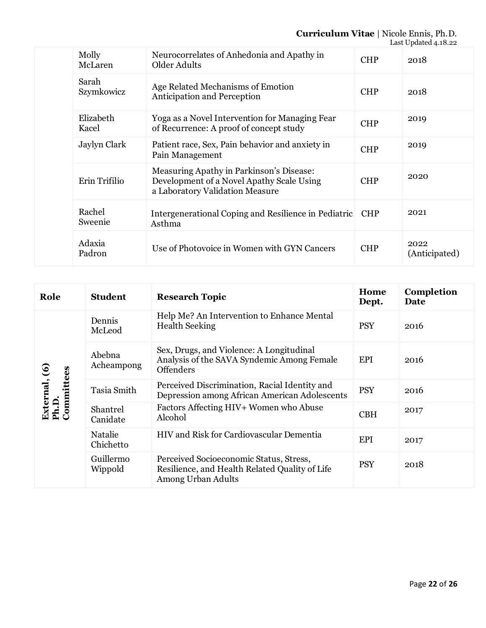## **Curriculum Vitae** | Nicole Ennis, Ph.D.

|  |                     |                                                                                                                          |            | Last Updated 4.18.22  |
|--|---------------------|--------------------------------------------------------------------------------------------------------------------------|------------|-----------------------|
|  | Molly<br>McLaren    | Neurocorrelates of Anhedonia and Apathy in<br>Older Adults                                                               | <b>CHP</b> | 2018                  |
|  | Sarah<br>Szymkowicz | Age Related Mechanisms of Emotion<br><b>Anticipation and Perception</b>                                                  | <b>CHP</b> | 2018                  |
|  | Elizabeth<br>Kacel  | Yoga as a Novel Intervention for Managing Fear<br>of Recurrence: A proof of concept study                                | <b>CHP</b> | 2019                  |
|  | Jaylyn Clark        | Patient race, Sex, Pain behavior and anxiety in<br>Pain Management                                                       | <b>CHP</b> | 2019                  |
|  | Erin Trifilio       | Measuring Apathy in Parkinson's Disease:<br>Development of a Novel Apathy Scale Using<br>a Laboratory Validation Measure | <b>CHP</b> | 2020                  |
|  | Rachel<br>Sweenie   | Intergenerational Coping and Resilience in Pediatric<br>Asthma                                                           | <b>CHP</b> | 2021                  |
|  | Adaxia<br>Padron    | Use of Photovoice in Women with GYN Cancers                                                                              | <b>CHP</b> | 2022<br>(Anticipated) |

| Role                                 | <b>Student</b>       | <b>Research Topic</b>                                                                                           | Home<br>Dept. | Completion<br><b>Date</b> |
|--------------------------------------|----------------------|-----------------------------------------------------------------------------------------------------------------|---------------|---------------------------|
| External, (6)<br>Ph.D.<br>Committees | Dennis<br>McLeod     | Help Me? An Intervention to Enhance Mental<br><b>Health Seeking</b>                                             | <b>PSY</b>    | 2016                      |
|                                      | Abebna<br>Acheampong | Sex, Drugs, and Violence: A Longitudinal<br>Analysis of the SAVA Syndemic Among Female<br><b>Offenders</b>      | EPI           | 2016                      |
|                                      | Tasia Smith          | Perceived Discrimination, Racial Identity and<br>Depression among African American Adolescents                  | <b>PSY</b>    | 2016                      |
|                                      | Shantrel<br>Canidate | Factors Affecting HIV+ Women who Abuse<br>Alcohol                                                               | <b>CBH</b>    | 2017                      |
|                                      | Natalie<br>Chichetto | HIV and Risk for Cardiovascular Dementia                                                                        | <b>EPI</b>    | 2017                      |
|                                      | Guillermo<br>Wippold | Perceived Socioeconomic Status, Stress,<br>Resilience, and Health Related Quality of Life<br>Among Urban Adults | <b>PSY</b>    | 2018                      |

Page **22** of **26**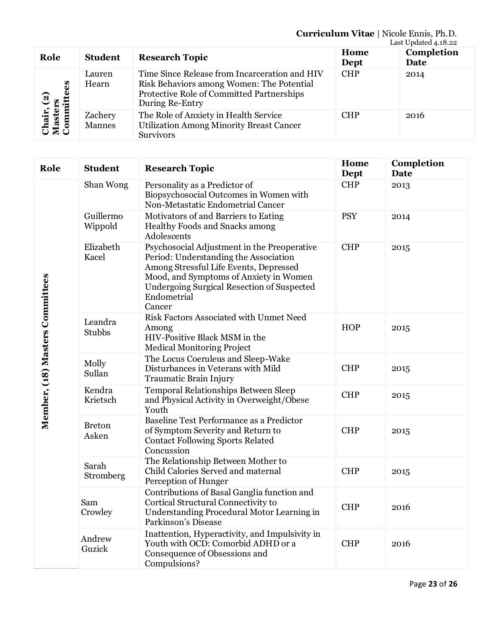## **Curriculum Vitae** | Nicole Ennis, Ph.D.

|                                         |                   |                                                                                                                                                            |              | Last Updated 4.18.22 |
|-----------------------------------------|-------------------|------------------------------------------------------------------------------------------------------------------------------------------------------------|--------------|----------------------|
| Role                                    | <b>Student</b>    | <b>Research Topic</b>                                                                                                                                      | Home<br>Dept | Completion<br>Date   |
| 89<br>Chair, (2)<br>Masters<br>Committe | Lauren<br>Hearn   | Time Since Release from Incarceration and HIV<br>Risk Behaviors among Women: The Potential<br>Protective Role of Committed Partnerships<br>During Re-Entry | <b>CHP</b>   | 2014                 |
|                                         | Zachery<br>Mannes | The Role of Anxiety in Health Service<br><b>Utilization Among Minority Breast Cancer</b><br><b>Survivors</b>                                               | <b>CHP</b>   | 2016                 |

| Role                            | <b>Student</b>         | <b>Research Topic</b>                                                                                                                                                                                                                                  | Home<br>Dept | Completion<br><b>Date</b> |
|---------------------------------|------------------------|--------------------------------------------------------------------------------------------------------------------------------------------------------------------------------------------------------------------------------------------------------|--------------|---------------------------|
| Member, (18) Masters Committees | Shan Wong              | Personality as a Predictor of<br>Biopsychosocial Outcomes in Women with<br>Non-Metastatic Endometrial Cancer                                                                                                                                           | <b>CHP</b>   | 2013                      |
|                                 | Guillermo<br>Wippold   | Motivators of and Barriers to Eating<br>Healthy Foods and Snacks among<br>Adolescents                                                                                                                                                                  | <b>PSY</b>   | 2014                      |
|                                 | Elizabeth<br>Kacel     | Psychosocial Adjustment in the Preoperative<br>Period: Understanding the Association<br>Among Stressful Life Events, Depressed<br>Mood, and Symptoms of Anxiety in Women<br><b>Undergoing Surgical Resection of Suspected</b><br>Endometrial<br>Cancer | <b>CHP</b>   | 2015                      |
|                                 | Leandra<br>Stubbs      | Risk Factors Associated with Unmet Need<br>Among<br>HIV-Positive Black MSM in the<br><b>Medical Monitoring Project</b>                                                                                                                                 | <b>HOP</b>   | 2015                      |
|                                 | Molly<br>Sullan        | The Locus Coeruleus and Sleep-Wake<br>Disturbances in Veterans with Mild<br>Traumatic Brain Injury                                                                                                                                                     | <b>CHP</b>   | 2015                      |
|                                 | Kendra<br>Krietsch     | Temporal Relationships Between Sleep<br>and Physical Activity in Overweight/Obese<br>Youth                                                                                                                                                             | <b>CHP</b>   | 2015                      |
|                                 | <b>Breton</b><br>Asken | Baseline Test Performance as a Predictor<br>of Symptom Severity and Return to<br><b>Contact Following Sports Related</b><br>Concussion                                                                                                                 | <b>CHP</b>   | 2015                      |
|                                 | Sarah<br>Stromberg     | The Relationship Between Mother to<br>Child Calories Served and maternal<br>Perception of Hunger                                                                                                                                                       | <b>CHP</b>   | 2015                      |
|                                 | Sam<br>Crowley         | Contributions of Basal Ganglia function and<br>Cortical Structural Connectivity to<br>Understanding Procedural Motor Learning in<br>Parkinson's Disease                                                                                                | <b>CHP</b>   | 2016                      |
|                                 | Andrew<br>Guzick       | Inattention, Hyperactivity, and Impulsivity in<br>Youth with OCD: Comorbid ADHD or a<br>Consequence of Obsessions and<br>Compulsions?                                                                                                                  | <b>CHP</b>   | 2016                      |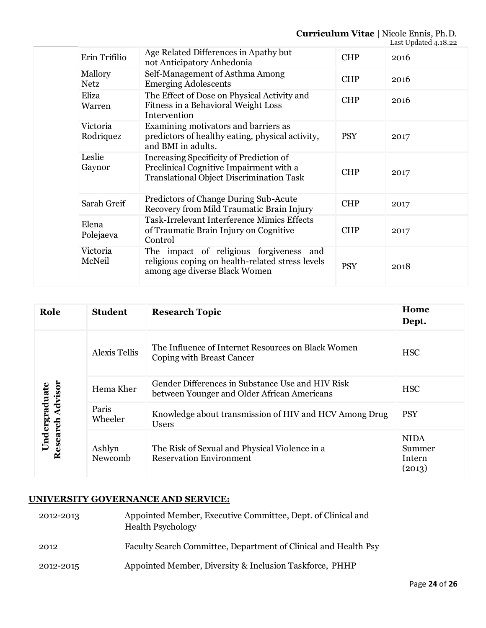## **Curriculum Vitae** | Nicole Ennis, Ph.D.

|  |                        |                                                                                                                                       |            | Last Updated 4.18.22 |
|--|------------------------|---------------------------------------------------------------------------------------------------------------------------------------|------------|----------------------|
|  | Erin Trifilio          | Age Related Differences in Apathy but<br>not Anticipatory Anhedonia                                                                   | <b>CHP</b> | 2016                 |
|  | Mallory<br><b>Netz</b> | Self-Management of Asthma Among<br><b>Emerging Adolescents</b>                                                                        | <b>CHP</b> | 2016                 |
|  | Eliza<br>Warren        | The Effect of Dose on Physical Activity and<br>Fitness in a Behavioral Weight Loss<br>Intervention                                    | <b>CHP</b> | 2016                 |
|  | Victoria<br>Rodriquez  | Examining motivators and barriers as<br>predictors of healthy eating, physical activity,<br>and BMI in adults.                        | <b>PSY</b> | 2017                 |
|  | Leslie<br>Gaynor       | Increasing Specificity of Prediction of<br>Preclinical Cognitive Impairment with a<br><b>Translational Object Discrimination Task</b> | <b>CHP</b> | 2017                 |
|  | Sarah Greif            | Predictors of Change During Sub-Acute<br>Recovery from Mild Traumatic Brain Injury                                                    | <b>CHP</b> | 2017                 |
|  | Elena<br>Polejaeva     | <b>Task-Irrelevant Interference Mimics Effects</b><br>of Traumatic Brain Injury on Cognitive<br>Control                               | <b>CHP</b> | 2017                 |
|  | Victoria<br>McNeil     | The impact of religious forgiveness<br>and<br>religious coping on health-related stress levels<br>among age diverse Black Women       | <b>PSY</b> | 2018                 |

| Role                                 | <b>Student</b>       | <b>Research Topic</b>                                                                           | Home<br>Dept.                             |
|--------------------------------------|----------------------|-------------------------------------------------------------------------------------------------|-------------------------------------------|
| Advisor<br>Undergraduate<br>Research | <b>Alexis Tellis</b> | The Influence of Internet Resources on Black Women<br>Coping with Breast Cancer                 | <b>HSC</b>                                |
|                                      | Hema Kher            | Gender Differences in Substance Use and HIV Risk<br>between Younger and Older African Americans | <b>HSC</b>                                |
|                                      | Paris<br>Wheeler     | Knowledge about transmission of HIV and HCV Among Drug<br><b>Users</b>                          | <b>PSY</b>                                |
|                                      | Ashlyn<br>Newcomb    | The Risk of Sexual and Physical Violence in a<br><b>Reservation Environment</b>                 | <b>NIDA</b><br>Summer<br>Intern<br>(2013) |

## **UNIVERSITY GOVERNANCE AND SERVICE:**

- 2012-2013 Appointed Member, Executive Committee, Dept. of Clinical and Health Psychology 2012 Faculty Search Committee, Department of Clinical and Health Psy
- 2012-2015 Appointed Member, Diversity & Inclusion Taskforce, PHHP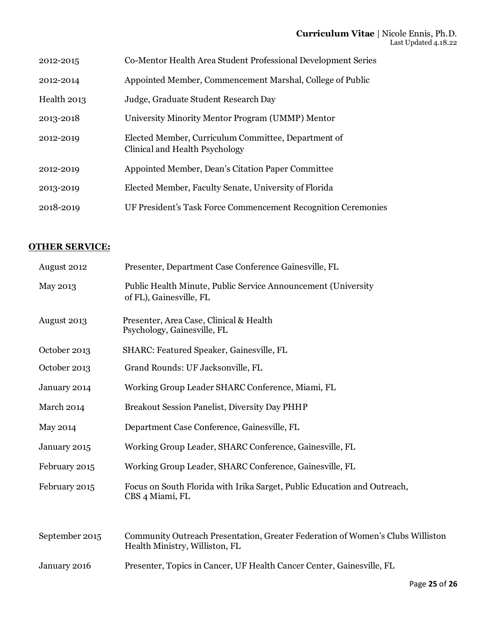| 2012-2015   | Co-Mentor Health Area Student Professional Development Series                         |
|-------------|---------------------------------------------------------------------------------------|
| 2012-2014   | Appointed Member, Commencement Marshal, College of Public                             |
| Health 2013 | Judge, Graduate Student Research Day                                                  |
| 2013-2018   | University Minority Mentor Program (UMMP) Mentor                                      |
| 2012-2019   | Elected Member, Curriculum Committee, Department of<br>Clinical and Health Psychology |
| 2012-2019   | Appointed Member, Dean's Citation Paper Committee                                     |
| 2013-2019   | Elected Member, Faculty Senate, University of Florida                                 |
| 2018-2019   | UF President's Task Force Commencement Recognition Ceremonies                         |

## **OTHER SERVICE:**

| August 2012    | Presenter, Department Case Conference Gainesville, FL                                                            |
|----------------|------------------------------------------------------------------------------------------------------------------|
| May 2013       | Public Health Minute, Public Service Announcement (University<br>of FL), Gainesville, FL                         |
| August 2013    | Presenter, Area Case, Clinical & Health<br>Psychology, Gainesville, FL                                           |
| October 2013   | SHARC: Featured Speaker, Gainesville, FL                                                                         |
| October 2013   | Grand Rounds: UF Jacksonville, FL                                                                                |
| January 2014   | Working Group Leader SHARC Conference, Miami, FL                                                                 |
| March 2014     | Breakout Session Panelist, Diversity Day PHHP                                                                    |
| May 2014       | Department Case Conference, Gainesville, FL                                                                      |
| January 2015   | Working Group Leader, SHARC Conference, Gainesville, FL                                                          |
| February 2015  | Working Group Leader, SHARC Conference, Gainesville, FL                                                          |
| February 2015  | Focus on South Florida with Irika Sarget, Public Education and Outreach,<br>CBS 4 Miami, FL                      |
|                |                                                                                                                  |
| September 2015 | Community Outreach Presentation, Greater Federation of Women's Clubs Williston<br>Health Ministry, Williston, FL |
| January 2016   | Presenter, Topics in Cancer, UF Health Cancer Center, Gainesville, FL                                            |
|                |                                                                                                                  |